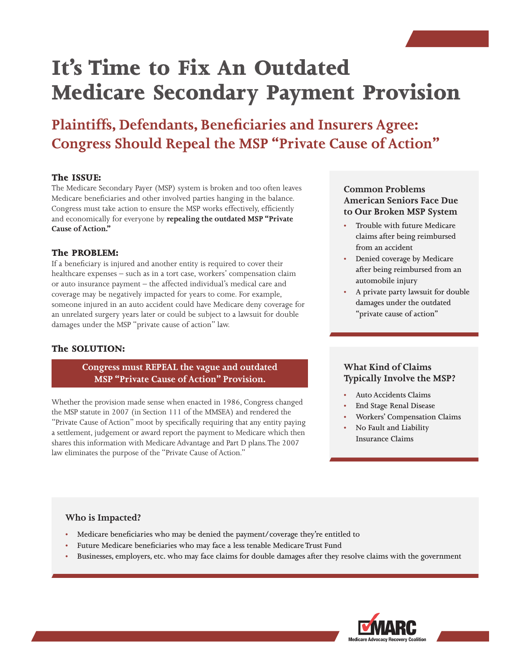# **It's Time to Fix An Outdated Medicare Secondary Payment Provision**

### **Plaintiffs, Defendants, Beneficiaries and Insurers Agree: Congress Should Repeal the MSP "Private Cause of Action"**

### **The ISSUE:**

The Medicare Secondary Payer (MSP) system is broken and too often leaves Medicare beneficiaries and other involved parties hanging in the balance. Congress must take action to ensure the MSP works effectively, efficiently and economically for everyone by **repealing the outdated MSP "Private Cause of Action."**

### **The PROBLEM:**

If a beneficiary is injured and another entity is required to cover their healthcare expenses – such as in a tort case, workers' compensation claim or auto insurance payment – the affected individual's medical care and coverage may be negatively impacted for years to come. For example, someone injured in an auto accident could have Medicare deny coverage for an unrelated surgery years later or could be subject to a lawsuit for double damages under the MSP "private cause of action" law.

### **The SOLUTION:**

**Congress must REPEAL the vague and outdated MSP "Private Cause of Action" Provision.**

Whether the provision made sense when enacted in 1986, Congress changed the MSP statute in 2007 (in Section 111 of the MMSEA) and rendered the "Private Cause of Action" moot by specifically requiring that any entity paying a settlement, judgement or award report the payment to Medicare which then shares this information with Medicare Advantage and Part D plans. The 2007 law eliminates the purpose of the "Private Cause of Action."

### **Common Problems American Seniors Face Due to Our Broken MSP System**

- **• Trouble with future Medicare claims after being reimbursed from an accident**
- **• Denied coverage by Medicare after being reimbursed from an automobile injury**
- **• A private party lawsuit for double damages under the outdated "private cause of action"**

### **What Kind of Claims Typically Involve the MSP?**

- **• Auto Accidents Claims**
- **• End Stage Renal Disease**
- **• Workers' Compensation Claims**
- **• No Fault and Liability Insurance Claims**

### **Who is Impacted?**

- **• Medicare beneficiaries who may be denied the payment/coverage they're entitled to**
- **• Future Medicare beneficiaries who may face a less tenable Medicare Trust Fund**
- **• Businesses, employers, etc. who may face claims for double damages after they resolve claims with the government**